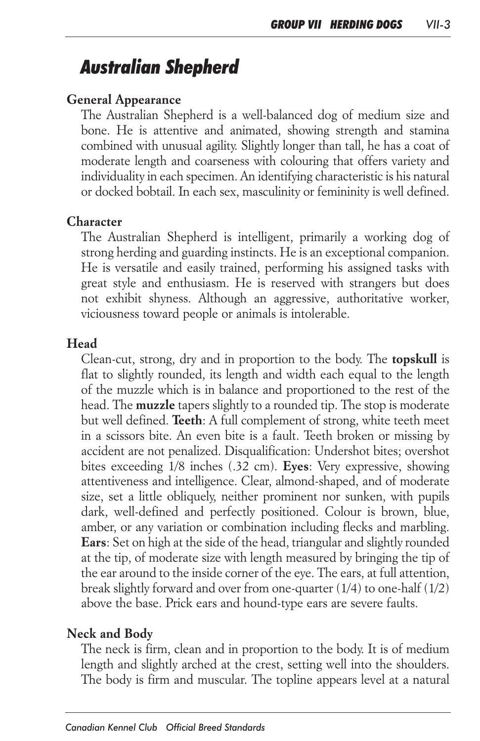# *Australian Shepherd*

## *General Appearance*

*The Australian Shepherd is a well-balanced dog of medium size and bone. He is attentive and animated, showing strength and stamina combined with unusual agility. Slightly longer than tall, he has a coat of*  moderate length and coarseness with colouring that offers variety and *individuality in each specimen. An identifying characteristic is his natural or docked bobtail. In each sex, masculinity or femininity is well defined.*

### *Character*

The Australian Shepherd is intelligent, primarily a working dog of *strong herding and guarding instincts. He is an exceptional companion. He is versatile and easily trained, performing his assigned tasks with great style and enthusiasm. He is reserved with strangers but does not exhibit shyness. Although an aggressive, authoritative worker, viciousness toward people or animals is intolerable.*

## *Head*

*Clean-cut, strong, dry and in proportion to the body. The <i>topskull* is flat to slightly rounded, its length and width each equal to the length *of the muzzle which is in balance and proportioned to the rest of the head. The muzzle tapers slightly to a rounded tip. The stop is moderate but well defined. Teeth: A full complement of strong, white teeth meet in a scissors bite. An even bite is a fault. Teeth broken or missing by accident are not penalized. Disqualification: Undershot bites; overshot bites exceeding 1/8 inches (.32 cm). Eyes: Very expressive, showing attentiveness and intelligence. Clear, almond-shaped, and of moderate size, set a little obliquely, neither prominent nor sunken, with pupils*  dark, well-defined and perfectly positioned. Colour is brown, blue, amber, or any variation or combination including flecks and marbling. *Ears: Set on high at the side of the head, triangular and slightly rounded at the tip, of moderate size with length measured by bringing the tip of the ear around to the inside corner of the eye. The ears, at full attention, break slightly forward and over from one-quarter (1/4) to one-half (1/2) above the base. Prick ears and hound-type ears are severe faults.*

### *Neck and Body*

*The neck is firm, clean and in proportion to the body. It is of medium*  length and slightly arched at the crest, setting well into the shoulders. The body is firm and muscular. The topline appears level at a natural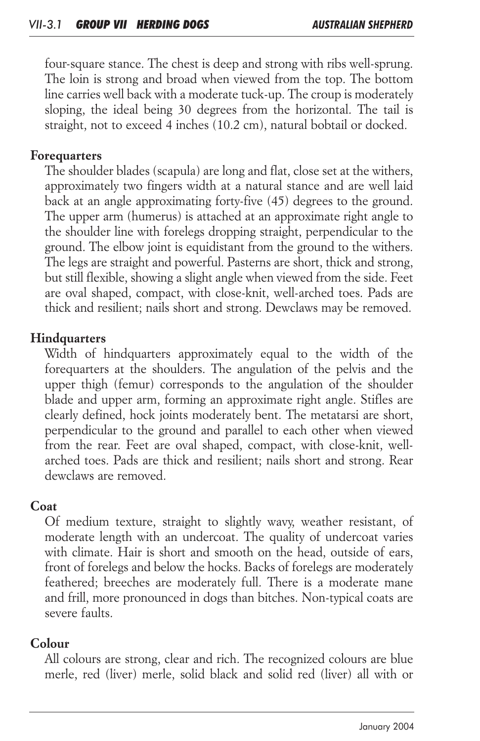*four-square stance. The chest is deep and strong with ribs well-sprung.*  The loin is strong and broad when viewed from the top. The bottom *line carries well back with a moderate tuck-up. The croup is moderately sloping, the ideal being 30 degrees from the horizontal. The tail is straight, not to exceed 4 inches (10.2 cm), natural bobtail or docked.*

### *Forequarters*

*The shoulder blades (scapula) are long and flat, close set at the withers, approximately two fingers width at a natural stance and are well laid back at an angle approximating forty-five (45) degrees to the ground. The upper arm (humerus) is attached at an approximate right angle to the shoulder line with forelegs dropping straight, perpendicular to the ground. The elbow joint is equidistant from the ground to the withers.*  The legs are straight and powerful. Pasterns are short, thick and strong, *but still flexible, showing a slight angle when viewed from the side. Feet are oval shaped, compact, with close-knit, well-arched toes. Pads are thick and resilient; nails short and strong. Dewclaws may be removed.* 

## *Hindquarters*

Width of hindquarters approximately equal to the width of the forequarters at the shoulders. The angulation of the pelvis and the upper thigh (femur) corresponds to the angulation of the shoulder blade and upper arm, forming an approximate right angle. Stifles are *clearly defined, hock joints moderately bent. The metatarsi are short, perpendicular to the ground and parallel to each other when viewed from the rear. Feet are oval shaped, compact, with close-knit, wellarched toes. Pads are thick and resilient; nails short and strong. Rear dewclaws are removed.*

### *Coat*

*Of medium texture, straight to slightly wavy, weather resistant, of moderate length with an undercoat. The quality of undercoat varies with climate. Hair is short and smooth on the head, outside of ears, front of forelegs and below the hocks. Backs of forelegs are moderately*  feathered; breeches are moderately full. There is a moderate mane and frill, more pronounced in dogs than bitches. Non-typical coats are *severe faults.*

### *Colour*

*All colours are strong, clear and rich. The recognized colours are blue merle, red (liver) merle, solid black and solid red (liver) all with or*